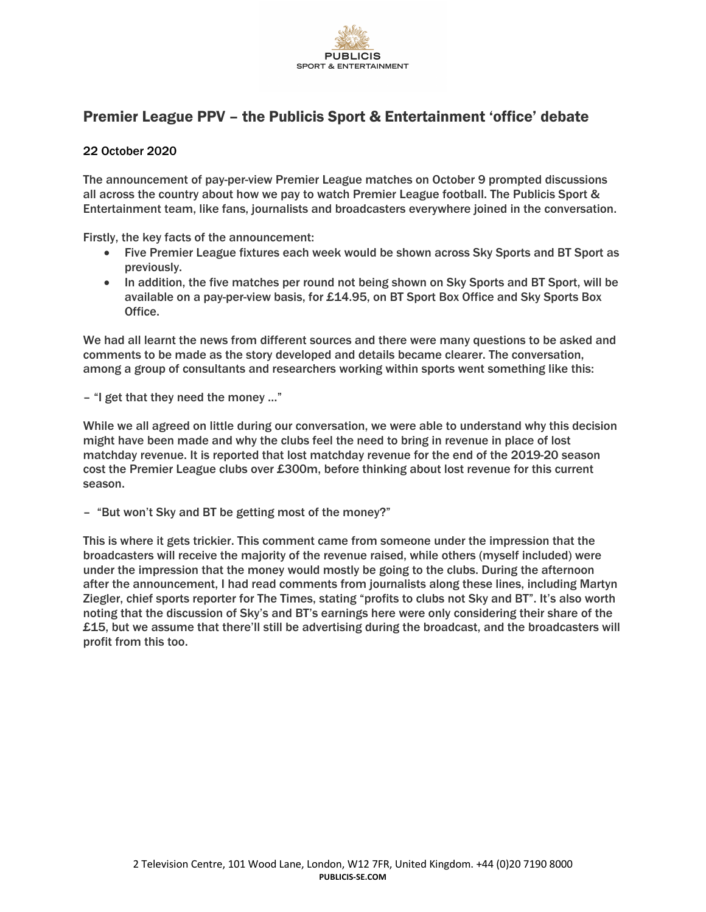

## Premier League PPV – the Publicis Sport & Entertainment 'office' debate

## 22 October 2020

The announcement of pay-per-view Premier League matches on October 9 prompted discussions all across the country about how we pay to watch Premier League football. The Publicis Sport & Entertainment team, like fans, journalists and broadcasters everywhere joined in the conversation.

Firstly, the key facts of the announcement:

- Five Premier League fixtures each week would be shown across Sky Sports and BT Sport as previously.
- In addition, the five matches per round not being shown on Sky Sports and BT Sport, will be available on a pay-per-view basis, for £14.95, on BT Sport Box Office and Sky Sports Box Office.

We had all learnt the news from different sources and there were many questions to be asked and comments to be made as the story developed and details became clearer. The conversation, among a group of consultants and researchers working within sports went something like this:

– "I get that they need the money …"

While we all agreed on little during our conversation, we were able to understand why this decision might have been made and why the clubs feel the need to bring in revenue in place of lost matchday revenue. It is reported that lost matchday revenue for the end of the 2019-20 season cost the Premier League clubs over £300m, before thinking about lost revenue for this current season.

– "But won't Sky and BT be getting most of the money?"

This is where it gets trickier. This comment came from someone under the impression that the broadcasters will receive the majority of the revenue raised, while others (myself included) were under the impression that the money would mostly be going to the clubs. During the afternoon after the announcement, I had read comments from journalists along these lines, including Martyn Ziegler, chief sports reporter for The Times, stating "profits to clubs not Sky and BT". It's also worth noting that the discussion of Sky's and BT's earnings here were only considering their share of the £15, but we assume that there'll still be advertising during the broadcast, and the broadcasters will profit from this too.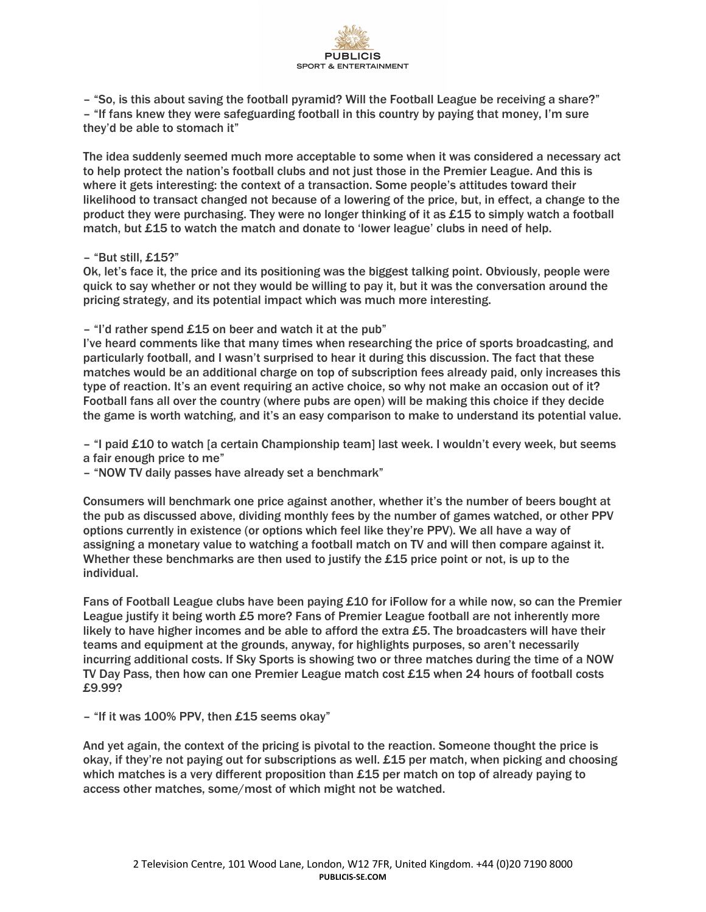

– "So, is this about saving the football pyramid? Will the Football League be receiving a share?" – "If fans knew they were safeguarding football in this country by paying that money, I'm sure they'd be able to stomach it"

The idea suddenly seemed much more acceptable to some when it was considered a necessary act to help protect the nation's football clubs and not just those in the Premier League. And this is where it gets interesting: the context of a transaction. Some people's attitudes toward their likelihood to transact changed not because of a lowering of the price, but, in effect, a change to the product they were purchasing. They were no longer thinking of it as £15 to simply watch a football match, but £15 to watch the match and donate to 'lower league' clubs in need of help.

## – "But still, £15?"

Ok, let's face it, the price and its positioning was the biggest talking point. Obviously, people were quick to say whether or not they would be willing to pay it, but it was the conversation around the pricing strategy, and its potential impact which was much more interesting.

– "I'd rather spend £15 on beer and watch it at the pub"

I've heard comments like that many times when researching the price of sports broadcasting, and particularly football, and I wasn't surprised to hear it during this discussion. The fact that these matches would be an additional charge on top of subscription fees already paid, only increases this type of reaction. It's an event requiring an active choice, so why not make an occasion out of it? Football fans all over the country (where pubs are open) will be making this choice if they decide the game is worth watching, and it's an easy comparison to make to understand its potential value.

– "I paid £10 to watch [a certain Championship team] last week. I wouldn't every week, but seems a fair enough price to me"

– "NOW TV daily passes have already set a benchmark"

Consumers will benchmark one price against another, whether it's the number of beers bought at the pub as discussed above, dividing monthly fees by the number of games watched, or other PPV options currently in existence (or options which feel like they're PPV). We all have a way of assigning a monetary value to watching a football match on TV and will then compare against it. Whether these benchmarks are then used to justify the £15 price point or not, is up to the individual.

Fans of Football League clubs have been paying £10 for iFollow for a while now, so can the Premier League justify it being worth £5 more? Fans of Premier League football are not inherently more likely to have higher incomes and be able to afford the extra  $£5$ . The broadcasters will have their teams and equipment at the grounds, anyway, for highlights purposes, so aren't necessarily incurring additional costs. If Sky Sports is showing two or three matches during the time of a NOW TV Day Pass, then how can one Premier League match cost £15 when 24 hours of football costs £9.99?

– "If it was 100% PPV, then £15 seems okay"

And yet again, the context of the pricing is pivotal to the reaction. Someone thought the price is okay, if they're not paying out for subscriptions as well. £15 per match, when picking and choosing which matches is a very different proposition than £15 per match on top of already paying to access other matches, some/most of which might not be watched.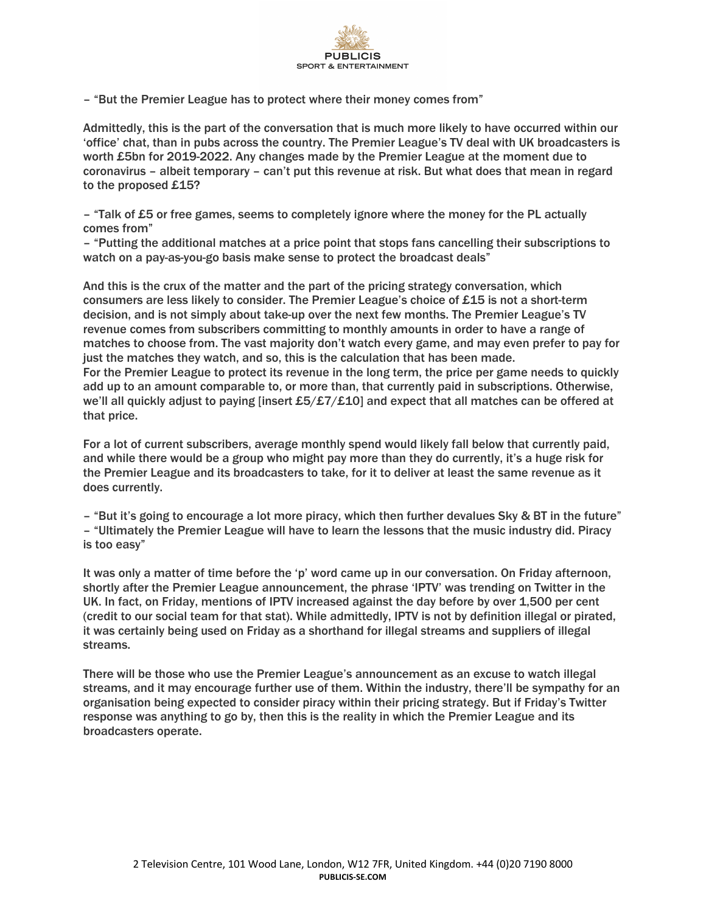

– "But the Premier League has to protect where their money comes from"

Admittedly, this is the part of the conversation that is much more likely to have occurred within our 'office' chat, than in pubs across the country. The Premier League's TV deal with UK broadcasters is worth £5bn for 2019-2022. Any changes made by the Premier League at the moment due to coronavirus – albeit temporary – can't put this revenue at risk. But what does that mean in regard to the proposed £15?

– "Talk of £5 or free games, seems to completely ignore where the money for the PL actually comes from"

– "Putting the additional matches at a price point that stops fans cancelling their subscriptions to watch on a pay-as-you-go basis make sense to protect the broadcast deals"

And this is the crux of the matter and the part of the pricing strategy conversation, which consumers are less likely to consider. The Premier League's choice of £15 is not a short-term decision, and is not simply about take-up over the next few months. The Premier League's TV revenue comes from subscribers committing to monthly amounts in order to have a range of matches to choose from. The vast majority don't watch every game, and may even prefer to pay for just the matches they watch, and so, this is the calculation that has been made. For the Premier League to protect its revenue in the long term, the price per game needs to quickly add up to an amount comparable to, or more than, that currently paid in subscriptions. Otherwise, we'll all quickly adjust to paying [insert £5/£7/£10] and expect that all matches can be offered at that price.

For a lot of current subscribers, average monthly spend would likely fall below that currently paid, and while there would be a group who might pay more than they do currently, it's a huge risk for the Premier League and its broadcasters to take, for it to deliver at least the same revenue as it does currently.

 $-$  "But it's going to encourage a lot more piracy, which then further devalues Sky & BT in the future" – "Ultimately the Premier League will have to learn the lessons that the music industry did. Piracy is too easy"

It was only a matter of time before the 'p' word came up in our conversation. On Friday afternoon, shortly after the Premier League announcement, the phrase 'IPTV' was trending on Twitter in the UK. In fact, on Friday, mentions of IPTV increased against the day before by over 1,500 per cent (credit to our social team for that stat). While admittedly, IPTV is not by definition illegal or pirated, it was certainly being used on Friday as a shorthand for illegal streams and suppliers of illegal streams.

There will be those who use the Premier League's announcement as an excuse to watch illegal streams, and it may encourage further use of them. Within the industry, there'll be sympathy for an organisation being expected to consider piracy within their pricing strategy. But if Friday's Twitter response was anything to go by, then this is the reality in which the Premier League and its broadcasters operate.